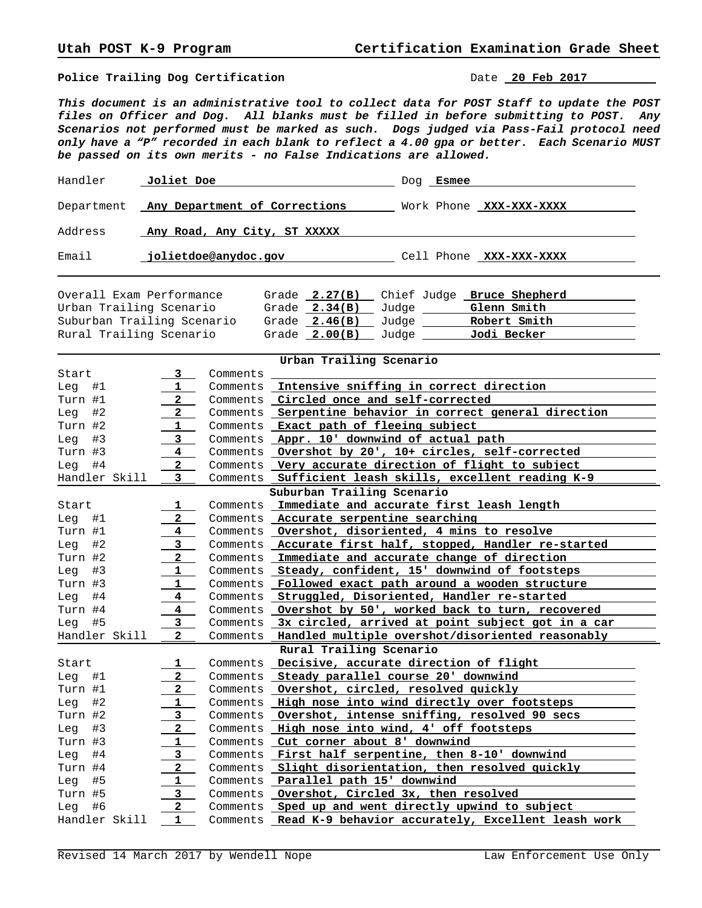**Police Trailing Dog Certification Date 20 Feb 2017** 

*This document is an administrative tool to collect data for POST Staff to update the POST files on Officer and Dog. All blanks must be filled in before submitting to POST. Any Scenarios not performed must be marked as such. Dogs judged via Pass-Fail protocol need only have a "P" recorded in each blank to reflect a 4.00 gpa or better. Each Scenario MUST be passed on its own merits - no False Indications are allowed.*

| Handler | Joliet Doe                               | Doa | Esmee |                         |
|---------|------------------------------------------|-----|-------|-------------------------|
|         | Department Any Department of Corrections |     |       | Work Phone XXX-XXX-XXXX |
| Address | Any Road, Any City, ST XXXXX             |     |       |                         |
| Email   | jolietdoe@anydoc.gov                     |     |       | Cell Phone XXX-XXX-XXXX |

Overall Exam Performance Grade **2.27(B)** Chief Judge **Bruce Shepherd**  Urban Trailing Scenario Grade **2.34(B)** Judge **Glenn Smith**  Suburban Trailing Scenario Grade 2.46(B) Judge <u> Robert Smith </u> Rural Trailing Scenario Grade **2.00(B)** Judge **Jodi Becker** 

| Urban Trailing Scenario    |                         |          |                                                             |  |  |
|----------------------------|-------------------------|----------|-------------------------------------------------------------|--|--|
| Start                      | 3                       | Comments |                                                             |  |  |
| Leq<br>#1                  | 1                       | Comments | Intensive sniffing in correct direction                     |  |  |
| Turn #1                    | $\mathbf{2}$            |          | Comments Circled once and self-corrected                    |  |  |
| #2<br>Leg                  | $\mathbf{2}$            |          | Comments Serpentine behavior in correct general direction   |  |  |
| Turn #2                    | $\mathbf{1}$            |          | Comments Exact path of fleeing subject                      |  |  |
| Leg<br>#3                  | 3                       |          | Comments Appr. 10' downwind of actual path                  |  |  |
| Turn #3                    | $4\phantom{0}$          |          | Comments Overshot by 20', 10+ circles, self-corrected       |  |  |
| #4<br>Leg                  | $2^{\circ}$             |          | Comments Very accurate direction of flight to subject       |  |  |
| Handler Skill              | 3                       |          | Comments Sufficient leash skills, excellent reading K-9     |  |  |
| Suburban Trailing Scenario |                         |          |                                                             |  |  |
| Start                      | ı                       |          | Comments Immediate and accurate first leash length          |  |  |
| Leg<br>#1                  | $\overline{a}$          |          | Comments Accurate serpentine searching                      |  |  |
| Turn #1                    | $4\overline{ }$         |          | Comments <b>Overshot, disoriented, 4 mins to resolve</b>    |  |  |
| #2<br>Leg                  | 3 <sup>7</sup>          |          | Comments Accurate first half, stopped, Handler re-started   |  |  |
| Turn #2                    | $2^{\circ}$             |          | Comments Immediate and accurate change of direction         |  |  |
| #3<br>Leg                  | 1                       |          | Comments Steady, confident, 15' downwind of footsteps       |  |  |
| Turn #3                    | $\mathbf{1}$            |          | Comments Followed exact path around a wooden structure      |  |  |
| Leg<br>#4                  | $\overline{\mathbf{4}}$ |          | Comments Struggled, Disoriented, Handler re-started         |  |  |
| Turn #4                    | $\overline{4}$          |          | Comments Overshot by 50', worked back to turn, recovered    |  |  |
| Leg<br>#5                  | $3^{\circ}$             |          | Comments 3x circled, arrived at point subject got in a car  |  |  |
| Handler Skill              | $\mathbf{2}$            |          | Comments Handled multiple overshot/disoriented reasonably   |  |  |
| Rural Trailing Scenario    |                         |          |                                                             |  |  |
| Start                      | $\mathbf{1}$            |          | Comments Decisive, accurate direction of flight             |  |  |
| Leg<br>#1                  | 2 <sup>1</sup>          |          | Comments Steady parallel course 20' downwind                |  |  |
| Turn #1                    | 2 <sup>1</sup>          |          | Comments Overshot, circled, resolved quickly                |  |  |
| #2<br>Leg                  | $\mathbf{1}$            |          | Comments High nose into wind directly over footsteps        |  |  |
| Turn #2                    | $\mathbf{3}$            |          | Comments Overshot, intense sniffing, resolved 90 secs       |  |  |
| #3<br>Leg                  | $\mathbf{2}$            |          | Comments High nose into wind, 4' off footsteps              |  |  |
| Turn #3                    | $\mathbf{1}$            |          | Comments Cut corner about 8' downwind                       |  |  |
| Leg<br>#4                  | 3                       |          | Comments First half serpentine, then 8-10' downwind         |  |  |
| Turn #4                    | $\mathbf{2}$            |          | Comments Slight disorientation, then resolved quickly       |  |  |
| #5<br>Leg                  | $\mathbf{1}$            |          | Comments Parallel path 15' downwind                         |  |  |
| Turn #5                    | $3^{\circ}$             |          | Comments Overshot, Circled 3x, then resolved                |  |  |
| #6<br>Leg                  | $\mathbf{2}$            |          | Comments Sped up and went directly upwind to subject        |  |  |
| Handler Skill              | 1                       |          | Comments Read K-9 behavior accurately, Excellent leash work |  |  |